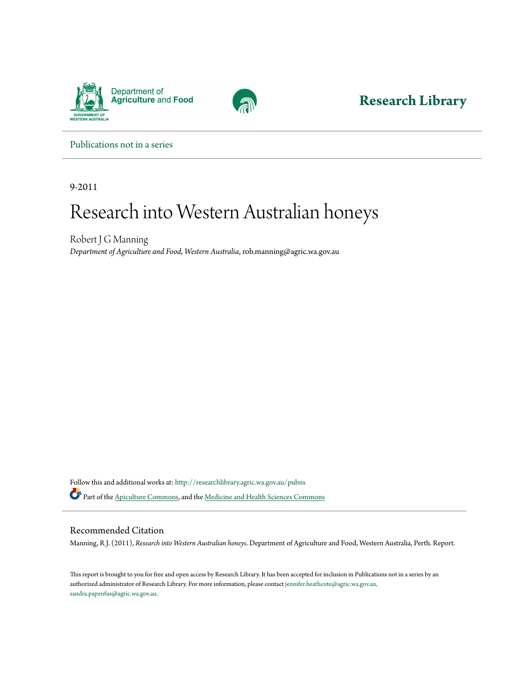



**[Research Library](http://researchlibrary.agric.wa.gov.au?utm_source=researchlibrary.agric.wa.gov.au%2Fpubns%2F39&utm_medium=PDF&utm_campaign=PDFCoverPages)**

[Publications not in a series](http://researchlibrary.agric.wa.gov.au/pubns?utm_source=researchlibrary.agric.wa.gov.au%2Fpubns%2F39&utm_medium=PDF&utm_campaign=PDFCoverPages)

9-2011

## Research into Western Australian honeys

Robert J G Manning *Department of Agriculture and Food, Western Australia*, rob.manning@agric.wa.gov.au

Follow this and additional works at: [http://researchlibrary.agric.wa.gov.au/pubns](http://researchlibrary.agric.wa.gov.au/pubns?utm_source=researchlibrary.agric.wa.gov.au%2Fpubns%2F39&utm_medium=PDF&utm_campaign=PDFCoverPages) Part of the [Apiculture Commons,](http://network.bepress.com/hgg/discipline/1351?utm_source=researchlibrary.agric.wa.gov.au%2Fpubns%2F39&utm_medium=PDF&utm_campaign=PDFCoverPages) and the [Medicine and Health Sciences Commons](http://network.bepress.com/hgg/discipline/648?utm_source=researchlibrary.agric.wa.gov.au%2Fpubns%2F39&utm_medium=PDF&utm_campaign=PDFCoverPages)

## Recommended Citation

Manning, R J. (2011), *Research into Western Australian honeys*. Department of Agriculture and Food, Western Australia, Perth. Report.

This report is brought to you for free and open access by Research Library. It has been accepted for inclusion in Publications not in a series by an authorized administrator of Research Library. For more information, please contact [jennifer.heathcote@agric.wa.gov.au,](mailto:jennifer.heathcote@agric.wa.gov.au,%20sandra.papenfus@agric.wa.gov.au) [sandra.papenfus@agric.wa.gov.au](mailto:jennifer.heathcote@agric.wa.gov.au,%20sandra.papenfus@agric.wa.gov.au).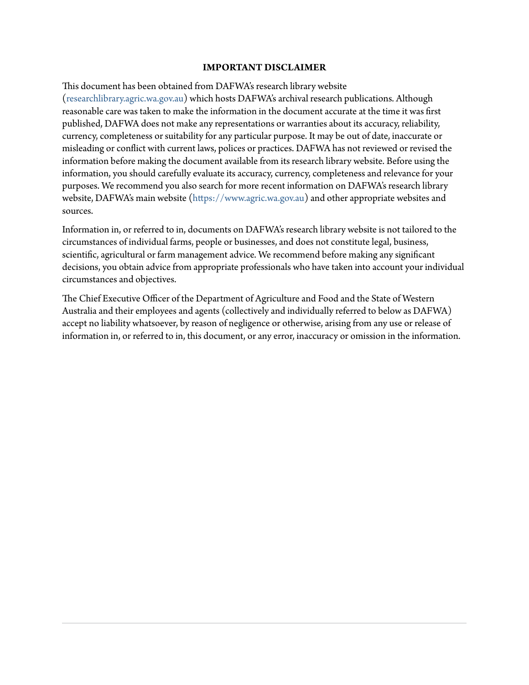## **IMPORTANT DISCLAIMER**

This document has been obtained from DAFWA's research library website ([researchlibrary.agric.wa.gov.au](http://researchlibrary.agric.wa.gov.au)) which hosts DAFWA's archival research publications. Although reasonable care was taken to make the information in the document accurate at the time it was first published, DAFWA does not make any representations or warranties about its accuracy, reliability, currency, completeness or suitability for any particular purpose. It may be out of date, inaccurate or misleading or conflict with current laws, polices or practices. DAFWA has not reviewed or revised the information before making the document available from its research library website. Before using the information, you should carefully evaluate its accuracy, currency, completeness and relevance for your purposes. We recommend you also search for more recent information on DAFWA's research library website, DAFWA's main website [\(https://www.agric.wa.gov.au](https://www.agric.wa.gov.au)) and other appropriate websites and sources.

Information in, or referred to in, documents on DAFWA's research library website is not tailored to the circumstances of individual farms, people or businesses, and does not constitute legal, business, scientific, agricultural or farm management advice. We recommend before making any significant decisions, you obtain advice from appropriate professionals who have taken into account your individual circumstances and objectives.

The Chief Executive Officer of the Department of Agriculture and Food and the State of Western Australia and their employees and agents (collectively and individually referred to below as DAFWA) accept no liability whatsoever, by reason of negligence or otherwise, arising from any use or release of information in, or referred to in, this document, or any error, inaccuracy or omission in the information.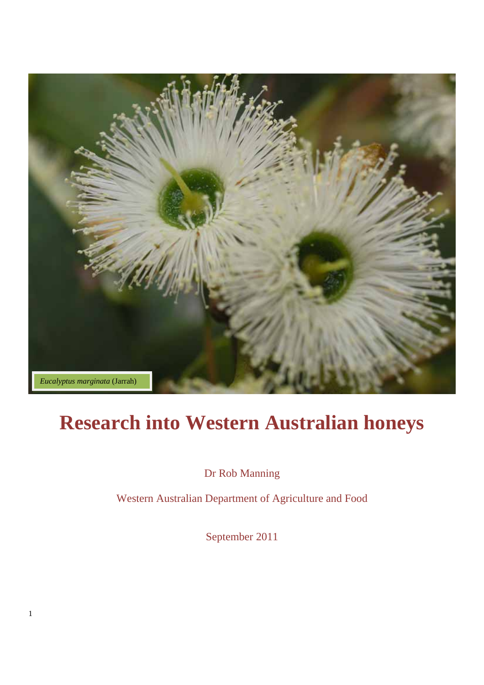

# **Research into Western Australian honeys**

Dr Rob Manning

Western Australian Department of Agriculture and Food

September 2011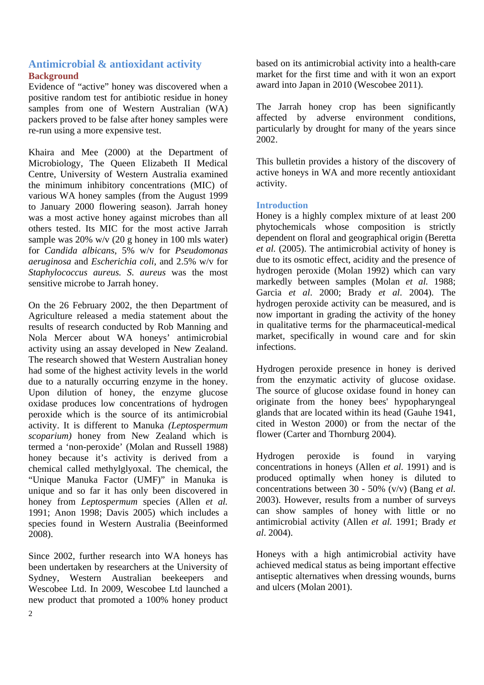## **Antimicrobial & antioxidant activity Background**

Evidence of "active" honey was discovered when a positive random test for antibiotic residue in honey samples from one of Western Australian (WA) packers proved to be false after honey samples were re-run using a more expensive test.

Khaira and Mee (2000) at the Department of Microbiology, The Queen Elizabeth II Medical Centre, University of Western Australia examined the minimum inhibitory concentrations (MIC) of various WA honey samples (from the August 1999 to January 2000 flowering season). Jarrah honey was a most active honey against microbes than all others tested. Its MIC for the most active Jarrah sample was 20% w/v (20 g honey in 100 mls water) for *Candida albicans*, 5% w/v for *Pseudomonas aeruginosa* and *Escherichia coli*, and 2.5% w/v for *Staphylococcus aureus. S. aureus* was the most sensitive microbe to Jarrah honey.

On the 26 February 2002, the then Department of Agriculture released a media statement about the results of research conducted by Rob Manning and Nola Mercer about WA honeys' antimicrobial activity using an assay developed in New Zealand. The research showed that Western Australian honey had some of the highest activity levels in the world due to a naturally occurring enzyme in the honey. Upon dilution of honey, the enzyme glucose oxidase produces low concentrations of hydrogen peroxide which is the source of its antimicrobial activity. It is different to Manuka *(Leptospermum scoparium)* honey from New Zealand which is termed a 'non-peroxide' (Molan and Russell 1988) honey because it's activity is derived from a chemical called methylglyoxal. The chemical, the "Unique Manuka Factor (UMF)" in Manuka is unique and so far it has only been discovered in honey from *Leptospermum* species (Allen *et al.* 1991; Anon 1998; Davis 2005) which includes a species found in Western Australia (Beeinformed 2008).

Since 2002, further research into WA honeys has been undertaken by researchers at the University of Sydney, Western Australian beekeepers and Wescobee Ltd. In 2009, Wescobee Ltd launched a new product that promoted a 100% honey product

based on its antimicrobial activity into a health-care market for the first time and with it won an export award into Japan in 2010 (Wescobee 2011).

The Jarrah honey crop has been significantly affected by adverse environment conditions, particularly by drought for many of the years since 2002.

This bulletin provides a history of the discovery of active honeys in WA and more recently antioxidant activity.

## **Introduction**

Honey is a highly complex mixture of at least 200 phytochemicals whose composition is strictly dependent on floral and geographical origin (Beretta *et al.* (2005). The antimicrobial activity of honey is due to its osmotic effect, acidity and the presence of hydrogen peroxide (Molan 1992) which can vary markedly between samples (Molan *et al.* 1988; Garcia *et al*. 2000; Brady *et al*. 2004). The hydrogen peroxide activity can be measured, and is now important in grading the activity of the honey in qualitative terms for the pharmaceutical-medical market, specifically in wound care and for skin infections.

Hydrogen peroxide presence in honey is derived from the enzymatic activity of glucose oxidase. The source of glucose oxidase found in honey can originate from the honey bees' hypopharyngeal glands that are located within its head (Gauhe 1941, cited in Weston 2000) or from the nectar of the flower (Carter and Thornburg 2004).

Hydrogen peroxide is found in varying concentrations in honeys (Allen *et al.* 1991) and is produced optimally when honey is diluted to concentrations between 30 - 50% (v/v) (Bang *et al.* 2003). However, results from a number of surveys can show samples of honey with little or no antimicrobial activity (Allen *et al.* 1991; Brady *et al*. 2004).

Honeys with a high antimicrobial activity have achieved medical status as being important effective antiseptic alternatives when dressing wounds, burns and ulcers (Molan 2001).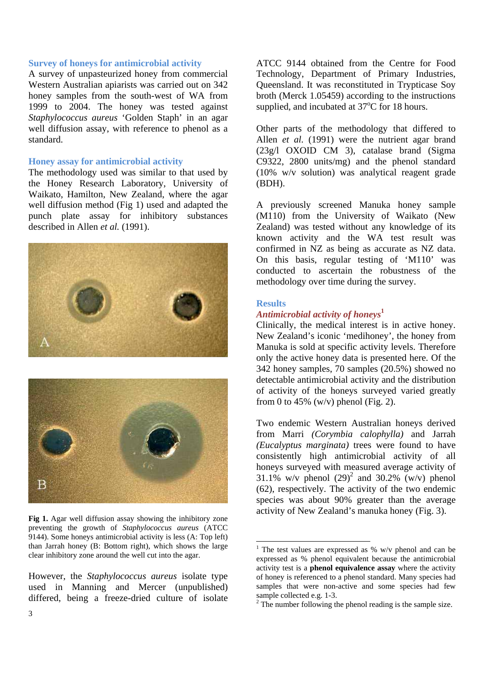## **Survey of honeys for antimicrobial activity**

A survey of unpasteurized honey from commercial Western Australian apiarists was carried out on 342 honey samples from the south-west of WA from 1999 to 2004. The honey was tested against *Staphylococcus aureus* 'Golden Staph' in an agar well diffusion assay, with reference to phenol as a standard.

## **Honey assay for antimicrobial activity**

The methodology used was similar to that used by the Honey Research Laboratory, University of Waikato, Hamilton, New Zealand, where the agar well diffusion method (Fig 1) used and adapted the punch plate assay for inhibitory substances described in Allen *et al.* (1991).





**Fig 1.** Agar well diffusion assay showing the inhibitory zone preventing the growth of *Staphylococcus aureus* (ATCC 9144). Some honeys antimicrobial activity is less (A: Top left) than Jarrah honey (B: Bottom right), which shows the large clear inhibitory zone around the well cut into the agar.

However, the *Staphylococcus aureus* isolate type used in Manning and Mercer (unpublished) differed, being a freeze-dried culture of isolate

ATCC 9144 obtained from the Centre for Food Technology, Department of Primary Industries, Queensland. It was reconstituted in Trypticase Soy broth (Merck 1.05459) according to the instructions supplied, and incubated at  $37^{\circ}$ C for 18 hours.

Other parts of the methodology that differed to Allen *et al.* (1991) were the nutrient agar brand (23g/l OXOID CM 3), catalase brand (Sigma C9322, 2800 units/mg) and the phenol standard (10% w/v solution) was analytical reagent grade (BDH).

A previously screened Manuka honey sample (M110) from the University of Waikato (New Zealand) was tested without any knowledge of its known activity and the WA test result was confirmed in NZ as being as accurate as NZ data. On this basis, regular testing of 'M110' was conducted to ascertain the robustness of the methodology over time during the survey.

## **Results**

l

## *Antimicrobial activity of honeys***<sup>1</sup>**

Clinically, the medical interest is in active honey. New Zealand's iconic 'medihoney', the honey from Manuka is sold at specific activity levels. Therefore only the active honey data is presented here. Of the 342 honey samples, 70 samples (20.5%) showed no detectable antimicrobial activity and the distribution of activity of the honeys surveyed varied greatly from 0 to 45% (w/v) phenol (Fig. 2).

Two endemic Western Australian honeys derived from Marri *(Corymbia calophylla)* and Jarrah *(Eucalyptus marginata)* trees were found to have consistently high antimicrobial activity of all honeys surveyed with measured average activity of 31.1% w/v phenol  $(29)^2$  and 30.2% (w/v) phenol (62), respectively. The activity of the two endemic species was about 90% greater than the average activity of New Zealand's manuka honey (Fig. 3).

<sup>&</sup>lt;sup>1</sup> The test values are expressed as % w/v phenol and can be expressed as % phenol equivalent because the antimicrobial activity test is a **phenol equivalence assay** where the activity of honey is referenced to a phenol standard. Many species had samples that were non-active and some species had few sample collected e.g. 1-3.

 $2^2$  The number following the phenol reading is the sample size.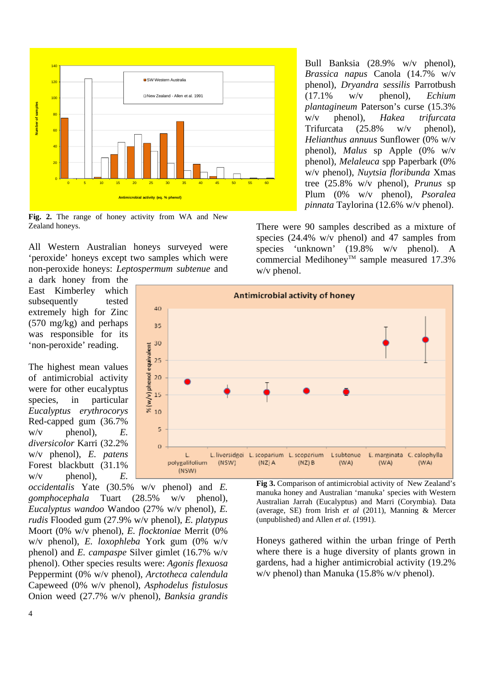

**Fig. 2.** The range of honey activity from WA and New Zealand honeys.

All Western Australian honeys surveyed were 'peroxide' honeys except two samples which were non-peroxide honeys: *Leptospermum subtenue* and

a dark honey from the East Kimberley which subsequently tested extremely high for Zinc (570 mg/kg) and perhaps was responsible for its 'non-peroxide' reading.

The highest mean values of antimicrobial activity were for other eucalyptus species, in particular *Eucalyptus erythrocorys* Red-capped gum (36.7%  $w/v$  phenol),  $E$ . *diversicolor* Karri (32.2% w/v phenol), *E. patens*  Forest blackbutt (31.1%  $w/v$  phenol),  $E$ .



*occidentalis* Yate (30.5% w/v phenol) and *E. gomphocephala* Tuart (28.5% w/v phenol), *Eucalyptus wandoo* Wandoo (27% w/v phenol), *E. rudis* Flooded gum (27.9% w/v phenol)*, E. platypus*  Moort (0% w/v phenol), *E. flocktoniae* Merrit (0% w/v phenol), *E. loxophleba* York gum (0% w/v phenol) and *E. campaspe* Silver gimlet (16.7% w/v phenol). Other species results were: *Agonis flexuosa* Peppermint (0% w/v phenol), *Arctotheca calendula* Capeweed (0% w/v phenol), *Asphodelus fistulosus* Onion weed (27.7% w/v phenol), *Banksia grandis* **Fig 3.** Comparison of antimicrobial activity of New Zealand's manuka honey and Australian 'manuka' species with Western Australian Jarrah (Eucalyptus) and Marri (Corymbia). Data (average, SE) from Irish *et al* (2011), Manning & Mercer (unpublished) and Allen *et al.* (1991).

Honeys gathered within the urban fringe of Perth where there is a huge diversity of plants grown in gardens, had a higher antimicrobial activity (19.2% w/v phenol) than Manuka (15.8% w/v phenol).

Bull Banksia (28.9% w/v phenol), *Brassica napus* Canola (14.7% w/v phenol), *Dryandra sessilis* Parrotbush (17.1% w/v phenol), *Echium plantagineum* Paterson's curse (15.3% w/v phenol), *Hakea trifurcata* Trifurcata (25.8% w/v phenol), *Helianthus annuus* Sunflower (0% w/v phenol), *Malus* sp Apple (0% w/v phenol), *Melaleuca* spp Paperbark (0% w/v phenol), *Nuytsia floribunda* Xmas tree (25.8% w/v phenol), *Prunus* sp Plum (0% w/v phenol), *Psoralea pinnata* Taylorina (12.6% w/v phenol).

There were 90 samples described as a mixture of species (24.4% w/v phenol) and 47 samples from species 'unknown' (19.8% w/v phenol). A commercial Medihoney<sup>TM</sup> sample measured 17.3% w/v phenol.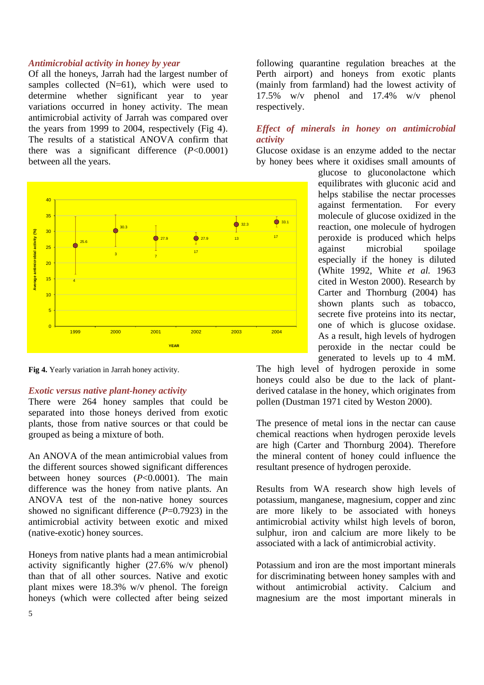## *Antimicrobial activity in honey by year*

Of all the honeys, Jarrah had the largest number of samples collected (N=61), which were used to determine whether significant year to year variations occurred in honey activity. The mean antimicrobial activity of Jarrah was compared over the years from 1999 to 2004, respectively (Fig 4). The results of a statistical ANOVA confirm that there was a significant difference (*P*<0.0001) between all the years.



**Fig 4.** Yearly variation in Jarrah honey activity.

#### *Exotic versus native plant-honey activity*

There were 264 honey samples that could be separated into those honeys derived from exotic plants, those from native sources or that could be grouped as being a mixture of both.

An ANOVA of the mean antimicrobial values from the different sources showed significant differences between honey sources (*P*<0.0001). The main difference was the honey from native plants. An ANOVA test of the non-native honey sources showed no significant difference  $(P=0.7923)$  in the antimicrobial activity between exotic and mixed (native-exotic) honey sources.

Honeys from native plants had a mean antimicrobial activity significantly higher (27.6% w/v phenol) than that of all other sources. Native and exotic plant mixes were 18.3% w/v phenol. The foreign honeys (which were collected after being seized

following quarantine regulation breaches at the Perth airport) and honeys from exotic plants (mainly from farmland) had the lowest activity of 17.5% w/v phenol and 17.4% w/v phenol respectively.

## *Effect of minerals in honey on antimicrobial activity*

Glucose oxidase is an enzyme added to the nectar by honey bees where it oxidises small amounts of

> glucose to gluconolactone which equilibrates with gluconic acid and helps stabilise the nectar processes against fermentation. For every molecule of glucose oxidized in the reaction, one molecule of hydrogen peroxide is produced which helps against microbial spoilage especially if the honey is diluted (White 1992, White *et al.* 1963 cited in Weston 2000). Research by Carter and Thornburg (2004) has shown plants such as tobacco, secrete five proteins into its nectar, one of which is glucose oxidase. As a result, high levels of hydrogen peroxide in the nectar could be generated to levels up to 4 mM.

The high level of hydrogen peroxide in some honeys could also be due to the lack of plantderived catalase in the honey, which originates from pollen (Dustman 1971 cited by Weston 2000).

The presence of metal ions in the nectar can cause chemical reactions when hydrogen peroxide levels are high (Carter and Thornburg 2004). Therefore the mineral content of honey could influence the resultant presence of hydrogen peroxide.

Results from WA research show high levels of potassium, manganese, magnesium, copper and zinc are more likely to be associated with honeys antimicrobial activity whilst high levels of boron, sulphur, iron and calcium are more likely to be associated with a lack of antimicrobial activity.

Potassium and iron are the most important minerals for discriminating between honey samples with and without antimicrobial activity. Calcium and magnesium are the most important minerals in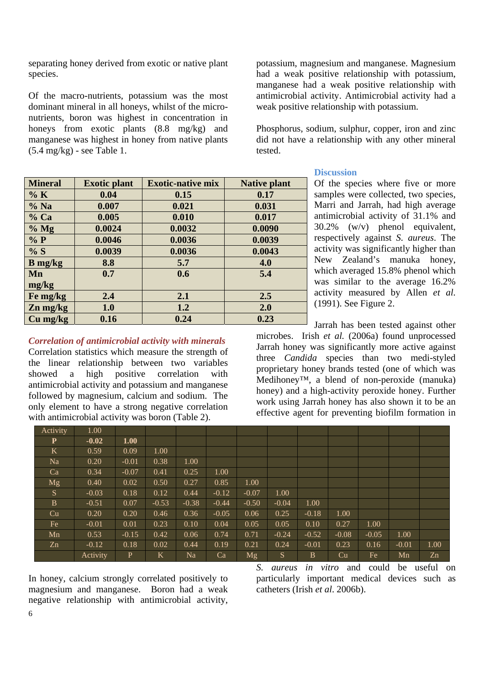separating honey derived from exotic or native plant species.

Of the macro-nutrients, potassium was the most dominant mineral in all honeys, whilst of the micronutrients, boron was highest in concentration in honeys from exotic plants  $(8.8 \text{ mg/kg})$  and manganese was highest in honey from native plants  $(5.4 \text{ mg/kg})$  - see Table 1.

| <b>Mineral</b> | <b>Exotic plant</b> | <b>Exotic-native mix</b> | <b>Native plant</b> |
|----------------|---------------------|--------------------------|---------------------|
| % K            | 0.04                | 0.15                     | 0.17                |
| % Na           | 0.007               | 0.021                    | 0.031               |
| $%$ Ca         | 0.005               | 0.010                    | 0.017               |
| % Mg           | 0.0024              | 0.0032                   | 0.0090              |
| % P            | 0.0046              | 0.0036                   | 0.0039              |
| % S            | 0.0039              | 0.0036                   | 0.0043              |
| $B$ mg/kg      | 8.8                 | 5.7                      | 4.0                 |
| Mn             | 0.7                 | 0.6                      | 5.4                 |
| mg/kg          |                     |                          |                     |
| Fe mg/kg       | 2.4                 | 2.1                      | 2.5                 |
| $Zn$ mg/kg     | 1.0                 | 1.2                      | 2.0                 |
| Cu mg/kg       | 0.16                | 0.24                     | 0.23                |

*Correlation of antimicrobial activity with minerals* 

Correlation statistics which measure the strength of the linear relationship between two variables showed a high positive correlation with antimicrobial activity and potassium and manganese followed by magnesium, calcium and sodium. The only element to have a strong negative correlation with antimicrobial activity was boron (Table 2).

potassium, magnesium and manganese. Magnesium had a weak positive relationship with potassium, manganese had a weak positive relationship with antimicrobial activity. Antimicrobial activity had a weak positive relationship with potassium.

Phosphorus, sodium, sulphur, copper, iron and zinc did not have a relationship with any other mineral tested.

## **Discussion**

Of the species where five or more samples were collected, two species, Marri and Jarrah*,* had high average antimicrobial activity of 31.1% and 30.2% (w/v) phenol equivalent, respectively against *S. aureus*. The activity was significantly higher than New Zealand's manuka honey, which averaged 15.8% phenol which was similar to the average 16.2% activity measured by Allen *et al*. (1991). See Figure 2.

Jarrah has been tested against other microbes. Irish *et al.* (2006a) found unprocessed Jarrah honey was significantly more active against three *Candida* species than two medi-styled proprietary honey brands tested (one of which was Medihoney™, a blend of non-peroxide (manuka) honey) and a high-activity peroxide honey. Further work using Jarrah honey has also shown it to be an effective agent for preventing biofilm formation in

| Activity     | 1.00     |              |         |         |         |         |         |         |         |         |         |      |
|--------------|----------|--------------|---------|---------|---------|---------|---------|---------|---------|---------|---------|------|
| P            | $-0.02$  | 1.00         |         |         |         |         |         |         |         |         |         |      |
| K            | 0.59     | 0.09         | 1.00    |         |         |         |         |         |         |         |         |      |
| Na           | 0.20     | $-0.01$      | 0.38    | 1.00    |         |         |         |         |         |         |         |      |
| Ca           | 0.34     | $-0.07$      | 0.41    | 0.25    | 1.00    |         |         |         |         |         |         |      |
| Mg           | 0.40     | 0.02         | 0.50    | 0.27    | 0.85    | 1.00    |         |         |         |         |         |      |
| S.           | $-0.03$  | 0.18         | 0.12    | 0.44    | $-0.12$ | $-0.07$ | 1.00    |         |         |         |         |      |
| $\mathbf{B}$ | $-0.51$  | 0.07         | $-0.53$ | $-0.38$ | $-0.44$ | $-0.50$ | $-0.04$ | 1.00    |         |         |         |      |
| Cu           | 0.20     | 0.20         | 0.46    | 0.36    | $-0.05$ | 0.06    | 0.25    | $-0.18$ | 1.00    |         |         |      |
| Fe           | $-0.01$  | 0.01         | 0.23    | 0.10    | 0.04    | 0.05    | 0.05    | 0.10    | 0.27    | 1.00    |         |      |
| Mn           | 0.53     | $-0.15$      | 0.42    | 0.06    | 0.74    | 0.71    | $-0.24$ | $-0.52$ | $-0.08$ | $-0.05$ | 1.00    |      |
| Zn           | $-0.12$  | 0.18         | 0.02    | 0.44    | 0.19    | 0.21    | 0.24    | $-0.01$ | 0.23    | 0.16    | $-0.01$ | 1.00 |
|              | Activity | $\mathbf{P}$ | Κ       | Na      | Ca      | Mg      | S       | B       | Cu      | Fe      | Mn      | Zn   |

In honey, calcium strongly correlated positively to magnesium and manganese. Boron had a weak negative relationship with antimicrobial activity, *S. aureus in vitro* and could be useful on particularly important medical devices such as catheters (Irish *et al*. 2006b).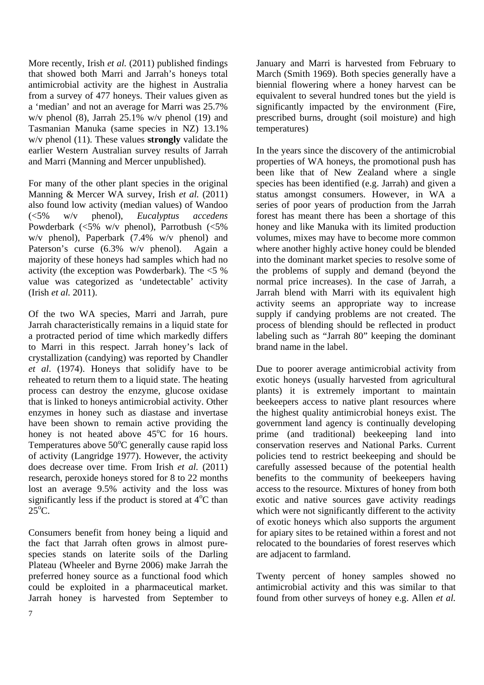More recently, Irish *et al.* (2011) published findings that showed both Marri and Jarrah's honeys total antimicrobial activity are the highest in Australia from a survey of 477 honeys. Their values given as a 'median' and not an average for Marri was 25.7% w/v phenol (8), Jarrah 25.1% w/v phenol (19) and Tasmanian Manuka (same species in NZ) 13.1% w/v phenol (11). These values **strongly** validate the earlier Western Australian survey results of Jarrah and Marri (Manning and Mercer unpublished).

For many of the other plant species in the original Manning & Mercer WA survey, Irish *et al.* (2011) also found low activity (median values) of Wandoo (<5% w/v phenol), *Eucalyptus accedens* Powderbark (<5% w/v phenol), Parrotbush (<5% w/v phenol), Paperbark (7.4% w/v phenol) and Paterson's curse (6.3% w/v phenol). Again a majority of these honeys had samples which had no activity (the exception was Powderbark). The <5 % value was categorized as 'undetectable' activity (Irish *et al.* 2011).

Of the two WA species, Marri and Jarrah, pure Jarrah characteristically remains in a liquid state for a protracted period of time which markedly differs to Marri in this respect. Jarrah honey's lack of crystallization (candying) was reported by Chandler *et al*. (1974). Honeys that solidify have to be reheated to return them to a liquid state. The heating process can destroy the enzyme, glucose oxidase that is linked to honeys antimicrobial activity. Other enzymes in honey such as diastase and invertase have been shown to remain active providing the honey is not heated above  $45^{\circ}$ C for 16 hours. Temperatures above  $50^{\circ}$ C generally cause rapid loss of activity (Langridge 1977). However, the activity does decrease over time. From Irish *et al.* (2011) research, peroxide honeys stored for 8 to 22 months lost an average 9.5% activity and the loss was significantly less if the product is stored at  $4^{\circ}$ C than  $25^{\circ}$ C.

Consumers benefit from honey being a liquid and the fact that Jarrah often grows in almost purespecies stands on laterite soils of the Darling Plateau (Wheeler and Byrne 2006) make Jarrah the preferred honey source as a functional food which could be exploited in a pharmaceutical market. Jarrah honey is harvested from September to

January and Marri is harvested from February to March (Smith 1969). Both species generally have a biennial flowering where a honey harvest can be equivalent to several hundred tones but the yield is significantly impacted by the environment (Fire, prescribed burns, drought (soil moisture) and high temperatures)

In the years since the discovery of the antimicrobial properties of WA honeys, the promotional push has been like that of New Zealand where a single species has been identified (e.g. Jarrah) and given a status amongst consumers. However, in WA a series of poor years of production from the Jarrah forest has meant there has been a shortage of this honey and like Manuka with its limited production volumes, mixes may have to become more common where another highly active honey could be blended into the dominant market species to resolve some of the problems of supply and demand (beyond the normal price increases). In the case of Jarrah, a Jarrah blend with Marri with its equivalent high activity seems an appropriate way to increase supply if candying problems are not created. The process of blending should be reflected in product labeling such as "Jarrah 80" keeping the dominant brand name in the label.

Due to poorer average antimicrobial activity from exotic honeys (usually harvested from agricultural plants) it is extremely important to maintain beekeepers access to native plant resources where the highest quality antimicrobial honeys exist. The government land agency is continually developing prime (and traditional) beekeeping land into conservation reserves and National Parks. Current policies tend to restrict beekeeping and should be carefully assessed because of the potential health benefits to the community of beekeepers having access to the resource. Mixtures of honey from both exotic and native sources gave activity readings which were not significantly different to the activity of exotic honeys which also supports the argument for apiary sites to be retained within a forest and not relocated to the boundaries of forest reserves which are adjacent to farmland.

Twenty percent of honey samples showed no antimicrobial activity and this was similar to that found from other surveys of honey e.g. Allen *et al.*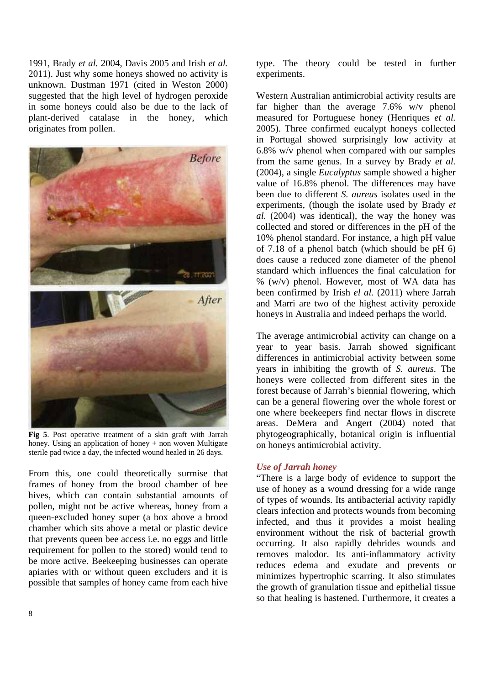1991, Brady *et al.* 2004, Davis 2005 and Irish *et al.* 2011). Just why some honeys showed no activity is unknown. Dustman 1971 (cited in Weston 2000) suggested that the high level of hydrogen peroxide in some honeys could also be due to the lack of plant-derived catalase in the honey, which originates from pollen.



**Fig 5**. Post operative treatment of a skin graft with Jarrah honey. Using an application of honey + non woven Multigate sterile pad twice a day, the infected wound healed in 26 days.

From this, one could theoretically surmise that frames of honey from the brood chamber of bee hives, which can contain substantial amounts of pollen, might not be active whereas, honey from a queen-excluded honey super (a box above a brood chamber which sits above a metal or plastic device that prevents queen bee access i.e. no eggs and little requirement for pollen to the stored) would tend to be more active. Beekeeping businesses can operate apiaries with or without queen excluders and it is possible that samples of honey came from each hive

type. The theory could be tested in further experiments.

Western Australian antimicrobial activity results are far higher than the average 7.6% w/v phenol measured for Portuguese honey (Henriques *et al.* 2005). Three confirmed eucalypt honeys collected in Portugal showed surprisingly low activity at 6.8% w/v phenol when compared with our samples from the same genus. In a survey by Brady *et al.* (2004), a single *Eucalyptus* sample showed a higher value of 16.8% phenol. The differences may have been due to different *S. aureus* isolates used in the experiments, (though the isolate used by Brady *et al.* (2004) was identical), the way the honey was collected and stored or differences in the pH of the 10% phenol standard. For instance, a high pH value of 7.18 of a phenol batch (which should be pH 6) does cause a reduced zone diameter of the phenol standard which influences the final calculation for % (w/v) phenol. However, most of WA data has been confirmed by Irish *el al.* (2011) where Jarrah and Marri are two of the highest activity peroxide honeys in Australia and indeed perhaps the world.

The average antimicrobial activity can change on a year to year basis. Jarrah showed significant differences in antimicrobial activity between some years in inhibiting the growth of *S. aureus*. The honeys were collected from different sites in the forest because of Jarrah's biennial flowering, which can be a general flowering over the whole forest or one where beekeepers find nectar flows in discrete areas. DeMera and Angert (2004) noted that phytogeographically, botanical origin is influential on honeys antimicrobial activity.

## *Use of Jarrah honey*

"There is a large body of evidence to support the use of honey as a wound dressing for a wide range of types of wounds. Its antibacterial activity rapidly clears infection and protects wounds from becoming infected, and thus it provides a moist healing environment without the risk of bacterial growth occurring. It also rapidly debrides wounds and removes malodor. Its anti-inflammatory activity reduces edema and exudate and prevents or minimizes hypertrophic scarring. It also stimulates the growth of granulation tissue and epithelial tissue so that healing is hastened. Furthermore, it creates a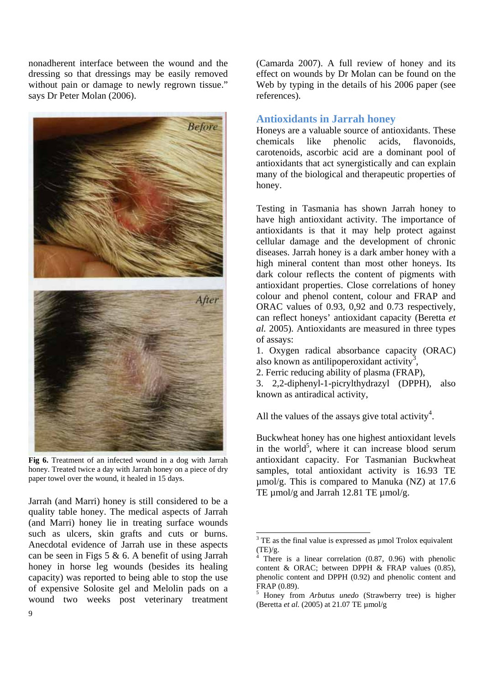nonadherent interface between the wound and the dressing so that dressings may be easily removed without pain or damage to newly regrown tissue." says Dr Peter Molan (2006).



**Fig 6.** Treatment of an infected wound in a dog with Jarrah honey. Treated twice a day with Jarrah honey on a piece of dry paper towel over the wound, it healed in 15 days.

Jarrah (and Marri) honey is still considered to be a quality table honey. The medical aspects of Jarrah (and Marri) honey lie in treating surface wounds such as ulcers, skin grafts and cuts or burns. Anecdotal evidence of Jarrah use in these aspects can be seen in Figs 5 & 6. A benefit of using Jarrah honey in horse leg wounds (besides its healing capacity) was reported to being able to stop the use of expensive Solosite gel and Melolin pads on a wound two weeks post veterinary treatment

(Camarda 2007). A full review of honey and its effect on wounds by Dr Molan can be found on the Web by typing in the details of his 2006 paper (see references).

## **Antioxidants in Jarrah honey**

Honeys are a valuable source of antioxidants. These chemicals like phenolic acids, flavonoids, carotenoids, ascorbic acid are a dominant pool of antioxidants that act synergistically and can explain many of the biological and therapeutic properties of honey.

Testing in Tasmania has shown Jarrah honey to have high antioxidant activity. The importance of antioxidants is that it may help protect against cellular damage and the development of chronic diseases. Jarrah honey is a dark amber honey with a high mineral content than most other honeys. Its dark colour reflects the content of pigments with antioxidant properties. Close correlations of honey colour and phenol content, colour and FRAP and ORAC values of 0.93, 0,92 and 0.73 respectively, can reflect honeys' antioxidant capacity (Beretta *et al.* 2005). Antioxidants are measured in three types of assays:

1. Oxygen radical absorbance capacity (ORAC) also known as antilipoperoxidant activity<sup>3</sup>,

2. Ferric reducing ability of plasma (FRAP),

3. 2,2-diphenyl-1-picrylthydrazyl (DPPH), also known as antiradical activity,

All the values of the assays give total activity<sup>4</sup>.

Buckwheat honey has one highest antioxidant levels in the world<sup>5</sup>, where it can increase blood serum antioxidant capacity. For Tasmanian Buckwheat samples, total antioxidant activity is 16.93 TE  $\mu$ mol/g. This is compared to Manuka (NZ) at 17.6 TE  $\mu$ mol/g and Jarrah 12.81 TE  $\mu$ mol/g.

 $\overline{a}$ 

 $3$  TE as the final value is expressed as  $\mu$  mol Trolox equivalent  $(TE)/g$ .

<sup>4</sup> There is a linear correlation (0.87, 0.96) with phenolic content & ORAC; between DPPH & FRAP values (0.85), phenolic content and DPPH (0.92) and phenolic content and FRAP (0.89).

<sup>5</sup> Honey from *Arbutus unedo* (Strawberry tree) is higher (Beretta *et al.* (2005) at 21.07 TE µmol/g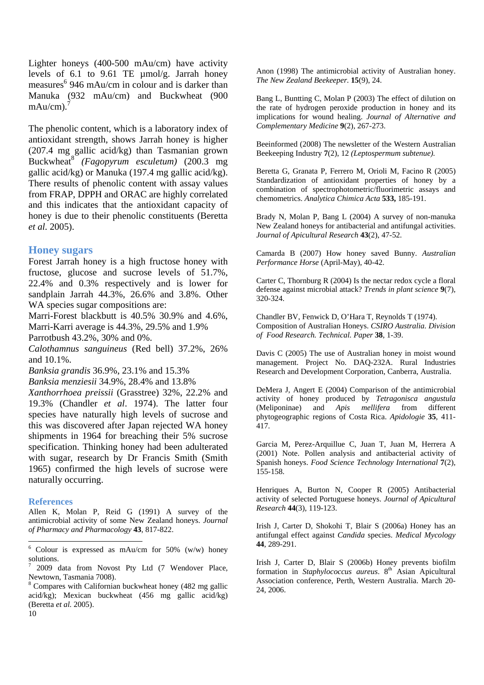Lighter honeys (400-500 mAu/cm) have activity levels of 6.1 to 9.61 TE µmol/g. Jarrah honey measures<sup>6</sup> 946 mAu/cm in colour and is darker than Manuka (932 mAu/cm) and Buckwheat (900  $mAu/cm$ ).<sup>7</sup>

The phenolic content, which is a laboratory index of antioxidant strength, shows Jarrah honey is higher (207.4 mg gallic acid/kg) than Tasmanian grown Buckwheat<sup>8</sup> *(Fagopyrum esculetum)* (200.3 mg gallic acid/kg) or Manuka (197.4 mg gallic acid/kg). There results of phenolic content with assay values from FRAP, DPPH and ORAC are highly correlated and this indicates that the antioxidant capacity of honey is due to their phenolic constituents (Beretta *et al.* 2005).

## **Honey sugars**

Forest Jarrah honey is a high fructose honey with fructose, glucose and sucrose levels of 51.7%, 22.4% and 0.3% respectively and is lower for sandplain Jarrah 44.3%, 26.6% and 3.8%. Other WA species sugar compositions are:

Marri-Forest blackbutt is 40.5% 30.9% and 4.6%, Marri-Karri average is 44.3%, 29.5% and 1.9%

Parrotbush 43.2%, 30% and 0%.

*Calothamnus sanguineus* (Red bell) 37.2%, 26% and 10.1%.

*Banksia grandis* 36.9%, 23.1% and 15.3%

*Banksia menziesii* 34.9%, 28.4% and 13.8%

*Xanthorrhoea preissii* (Grasstree) 32%, 22.2% and 19.3% (Chandler *et al*. 1974). The latter four species have naturally high levels of sucrose and this was discovered after Japan rejected WA honey shipments in 1964 for breaching their 5% sucrose specification. Thinking honey had been adulterated with sugar, research by Dr Francis Smith (Smith 1965) confirmed the high levels of sucrose were naturally occurring.

#### **References**

Allen K, Molan P, Reid G (1991) A survey of the antimicrobial activity of some New Zealand honeys. *Journal of Pharmacy and Pharmacology* **43**, 817-822.

10 <sup>8</sup> Compares with Californian buckwheat honey (482 mg gallic acid/kg); Mexican buckwheat (456 mg gallic acid/kg) (Beretta *et al.* 2005).

Anon (1998) The antimicrobial activity of Australian honey. *The New Zealand Beekeeper.* **15**(9), 24.

Bang L, Buntting C, Molan P (2003) The effect of dilution on the rate of hydrogen peroxide production in honey and its implications for wound healing. *Journal of Alternative and Complementary Medicine* **9**(2), 267-273.

Beeinformed (2008) The newsletter of the Western Australian Beekeeping Industry **7**(2), 12 *(Leptospermum subtenue).* 

Beretta G, Granata P, Ferrero M, Orioli M, Facino R (2005) Standardization of antioxidant properties of honey by a combination of spectrophotometric/fluorimetric assays and chemometrics. *Analytica Chimica Acta* **533,** 185-191.

Brady N, Molan P, Bang L (2004) A survey of non-manuka New Zealand honeys for antibacterial and antifungal activities. *Journal of Apicultural Research* **43**(2), 47-52.

Camarda B (2007) How honey saved Bunny. *Australian Performance Horse* (April-May), 40-42.

Carter C, Thornburg R (2004) Is the nectar redox cycle a floral defense against microbial attack? *Trends in plant science* **9**(7), 320-324.

Chandler BV, Fenwick D, O'Hara T, Reynolds T (1974). Composition of Australian Honeys. *CSIRO Australia. Division of Food Research. Technical. Paper* **38**, 1-39.

Davis C (2005) The use of Australian honey in moist wound management. Project No. DAQ-232A. Rural Industries Research and Development Corporation, Canberra, Australia.

DeMera J, Angert E (2004) Comparison of the antimicrobial activity of honey produced by *Tetragonisca angustula* (Meliponinae) and *Apis mellifera* from different phytogeographic regions of Costa Rica. *Apidologie* **35**, 411- 417.

Garcia M, Perez-Arquillue C, Juan T, Juan M, Herrera A (2001) Note. Pollen analysis and antibacterial activity of Spanish honeys. *Food Science Technology International* **7**(2), 155-158.

Henriques A, Burton N, Cooper R (2005) Antibacterial activity of selected Portuguese honeys. *Journal of Apicultural Research* **44**(3), 119-123.

Irish J, Carter D, Shokohi T, Blair S (2006a) Honey has an antifungal effect against *Candida* species. *Medical Mycology*  **44**, 289-291.

Irish J, Carter D, Blair S (2006b) Honey prevents biofilm formation in *Staphylococcus aureus*. 8<sup>th</sup> Asian Apicultural Association conference, Perth, Western Australia. March 20- 24, 2006.

 6 Colour is expressed as mAu/cm for 50% (w/w) honey solutions.

<sup>7</sup> 2009 data from Novost Pty Ltd (7 Wendover Place, Newtown, Tasmania 7008).